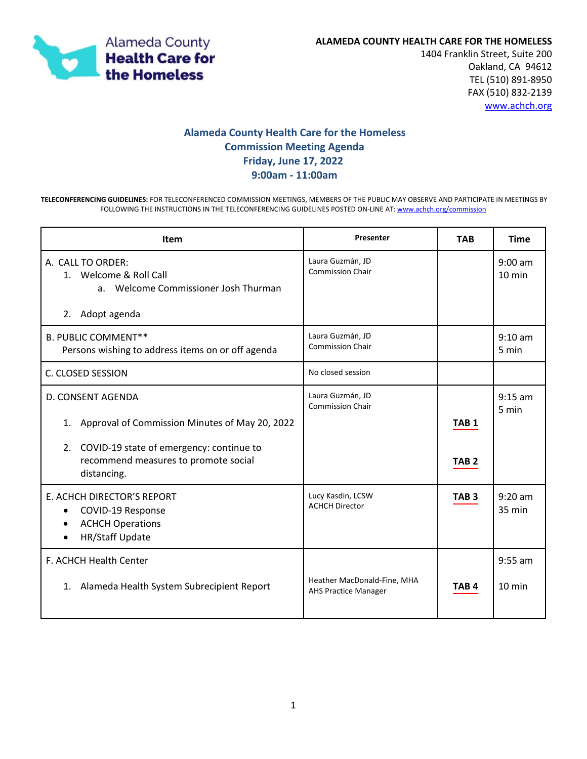

1404 Franklin Street, Suite 200 Oakland, CA 94612 TEL (510) 891-8950 FAX (510) 832-2139 [www.achch.org](file://hcsa-s5/HCHP$/HCH%20GOVERNANCE/HCH%20COMMISSION/Directors%20Report/www.achch.org)

## **Alameda County Health Care for the Homeless Commission Meeting Agenda Friday, June 17, 2022 9:00am - 11:00am**

**TELECONFERENCING GUIDELINES:** FOR TELECONFERENCED COMMISSION MEETINGS, MEMBERS OF THE PUBLIC MAY OBSERVE AND PARTICIPATE IN MEETINGS BY FOLLOWING THE INSTRUCTIONS IN THE TELECONFERENCING GUIDELINES POSTED ON-LINE AT: [www.achch.org/commission](http://www.achch.org/commission)

| <b>Item</b>                                                                                                     | Presenter                                                  | <b>TAB</b>       | <b>Time</b>                   |
|-----------------------------------------------------------------------------------------------------------------|------------------------------------------------------------|------------------|-------------------------------|
| A. CALL TO ORDER:<br>1. Welcome & Roll Call<br>a. Welcome Commissioner Josh Thurman<br>2.<br>Adopt agenda       | Laura Guzmán, JD<br><b>Commission Chair</b>                |                  | $9:00$ am<br>$10 \text{ min}$ |
| <b>B. PUBLIC COMMENT**</b><br>Persons wishing to address items on or off agenda                                 | Laura Guzmán, JD<br><b>Commission Chair</b>                |                  | $9:10$ am<br>5 min            |
| C. CLOSED SESSION                                                                                               | No closed session                                          |                  |                               |
| D. CONSENT AGENDA<br>Approval of Commission Minutes of May 20, 2022<br>1.                                       | Laura Guzmán, JD<br><b>Commission Chair</b>                | TAB <sub>1</sub> | $9:15$ am<br>5 min            |
| COVID-19 state of emergency: continue to<br>2.<br>recommend measures to promote social<br>distancing.           |                                                            | TAB <sub>2</sub> |                               |
| E. ACHCH DIRECTOR'S REPORT<br>COVID-19 Response<br>٠<br><b>ACHCH Operations</b><br>$\bullet$<br>HR/Staff Update | Lucy Kasdin, LCSW<br><b>ACHCH Director</b>                 | TAB <sub>3</sub> | $9:20$ am<br>$35 \text{ min}$ |
| <b>F. ACHCH Health Center</b><br>Alameda Health System Subrecipient Report<br>1.                                | Heather MacDonald-Fine, MHA<br><b>AHS Practice Manager</b> | TAB <sub>4</sub> | $9:55$ am<br>$10 \text{ min}$ |